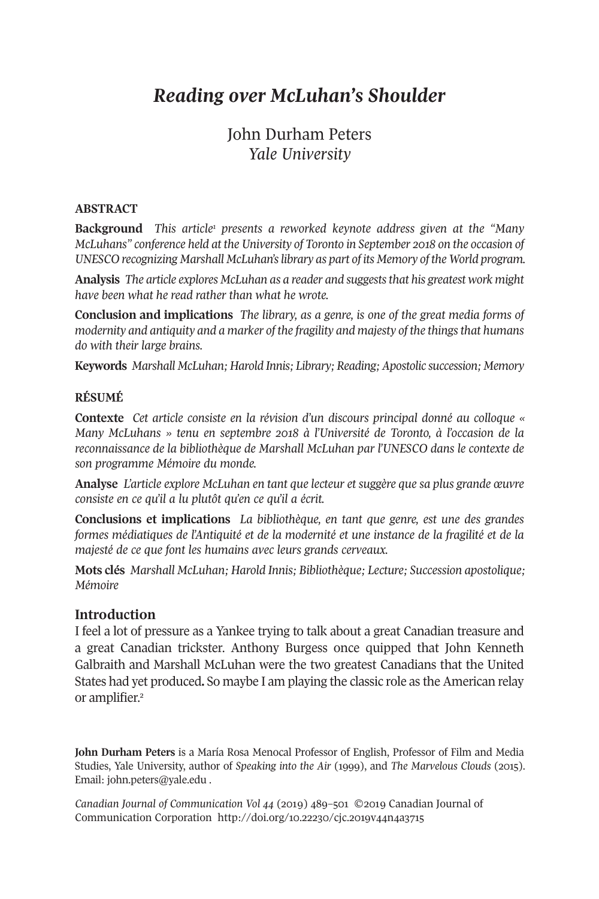# *Reading over McLuhan's Shoulder*

## John Durham Peters *Yale University*

#### **ABSTRACT**

**Background** *This articl[e1](#page-11-0) presents a reworked keynote address given at the "Many McLuhans" conference held at the University of Toronto in September 2018 on the occasion of UNESCO recognizing Marshall McLuhan'slibrary as part of its Memory of the World program.*

**Analysis** *The article explores McLuhan as a reader and suggeststhat his greatest work might have been what he read rather than what he wrote.*

**Conclusion and implications** *The library, as a genre, is one of the great media forms of modernity and antiquity and a marker of the fragility and majesty of the thingsthat humans do with their large brains.*

**Keywords** *Marshall McLuhan; Harold Innis; Library; Reading;Apostolic succession; Memory*

#### **RÉSUMÉ**

**Contexte** *Cet article consiste en la révision d'un discours principal donné au colloque « Many McLuhans » tenu en septembre 2018 à l'Université de Toronto, à l'occasion de la reconnaissance de la bibliothèque de Marshall McLuhan par l'UNESCO dans le contexte de son programme Mémoire du monde.*

**Analyse** *L'article explore McLuhan en tant que lecteur et suggère que sa plus grande œuvre consiste en ce qu'il a lu plutôt qu'en ce qu'il a écrit.*

**Conclusions et implications** *La bibliothèque, en tant que genre, est une des grandes formes médiatiques de l'Antiquité et de la modernité et une instance de la fragilité et de la majesté de ce que font les humains avec leurs grands cerveaux.*

**Mots clés** *Marshall McLuhan; Harold Innis; Bibliothèque; Lecture; Succession apostolique; Mémoire*

#### **Introduction**

I feel a lot of pressure as a Yankee trying to talk about a great Canadian treasure and a great Canadian trickster. Anthony Burgess once quipped that John Kenneth Galbraith and Marshall McLuhan were the two greatest Canadians that the United States had y[et](#page-11-1) produced**.** So maybe I am playing the classic role as the American relay or amplifier. 2

**John Durham Peters** is a María Rosa Menocal Professor of English, Professor of Film and Media Studies, Yale University, author of *Speaking into the Air* (1999), and *The Marvelous Clouds* (2015). Email: [john.peters@yale.edu](mailto:john.peters@yale.edu) .

*Canadian Journal of [Communication](http://www.cjc-online.ca) Vol 44* (2019) 489–501 ©2019 Canadian Journal of Communication Corporation <http://doi.org/10.22230/cjc.2019v44n4a3715>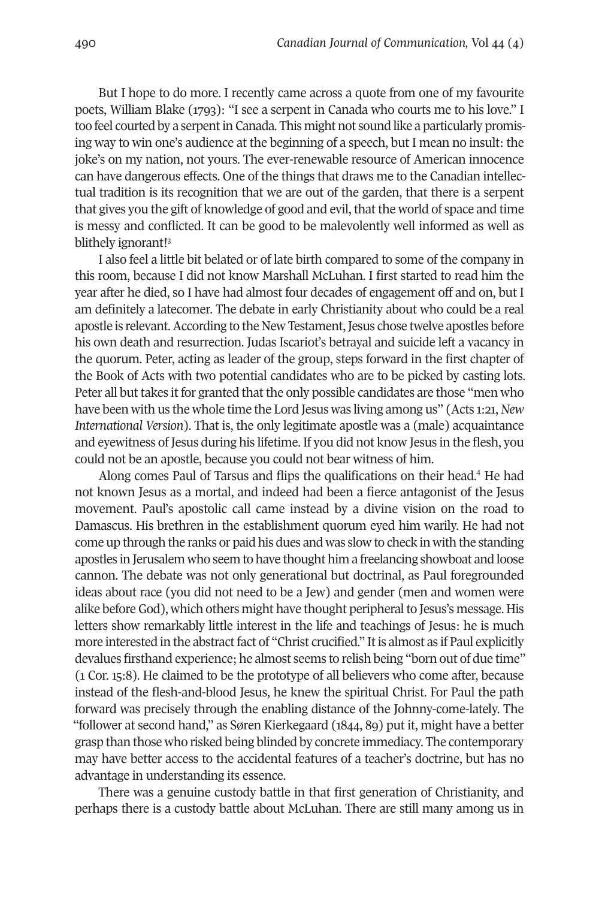But I hope to do more. I recently came across a quote from one of my favourite poets, William Blake (1793): "I see a serpent in Canada who courts me to his love." I too feel courted by a serpent in Canada. This might not sound like a particularly promising way to win one's audience at the beginning of a speech, but I mean no insult: the joke's on my nation, not yours. The ever-renewable resource of American innocence can have dangerous effects. One of the things that draws me to the Canadian intellectual tradition is its recognition that we are out of the garden, that there is a serpent that gives you the gift of knowledge of good and evil, that the world of space and time is messy and co[nfl](#page-11-2)icted. It can be good to be malevolently well informed as well as blithely ignorant! 3

I also feel a little bit belated or of late birth compared to some of the company in this room, because I did not know Marshall McLuhan. I first started to read him the year after he died, so I have had almost four decades of engagement off and on, but I am definitely a latecomer. The debate in early Christianity about who could be a real apostle is relevant.According to the New Testament,Jesus chose twelve apostles before his own death and resurrection. Judas Iscariot's betrayal and suicide left a vacancy in the quorum. Peter, acting as leader of the group, steps forward in the first chapter of the Book of Acts with two potential candidates who are to be picked by casting lots. Peter all but takes it for granted that the only possible candidates are those "men who have been with us the whole time the Lord Jesus was living among us" (Acts 1:21,*New International Version*). That is, the only legitimate apostle was a (male) acquaintance and eyewitness of Jesus during his lifetime. If you did not know Jesus in the flesh, you could not be an apostle, because you could not bear witness of him.

Along comes Paul of Tarsus and flips the qualifications on their head. [4](#page-11-3) He had not known Jesus as a mortal, and indeed had been a fierce antagonist of the Jesus movement. Paul's apostolic call came instead by a divine vision on the road to Damascus. His brethren in the establishment quorum eyed him warily. He had not come up through the ranks or paid his dues and was slow to check in with the standing apostles in Jerusalem who seem to have thought him a freelancing showboat and loose cannon. The debate was not only generational but doctrinal, as Paul foregrounded ideas about race (you did not need to be a Jew) and gender (men and women were alike before God), which others might have thought peripheral to Jesus's message. His letters show remarkably little interest in the life and teachings of Jesus: he is much more interested in the abstract fact of "Christ crucified." It is almost as if Paul explicitly devalues firsthand experience; he almost seems to relish being "born out of due time" (1 Cor. 15:8). He claimed to be the prototype of all believers who come after, because instead of the flesh-and-blood Jesus, he knew the spiritual Christ. For Paul the path forward was precisely through the enabling distance of the Johnny-come-lately. The "follower at second hand," as Søren Kierkegaard (1844, 89) put it, might have a better grasp than those who risked being blinded by concrete immediacy. The contemporary may have better access to the accidental features of a teacher's doctrine, but has no advantage in understanding its essence.

There was a genuine custody battle in that first generation of Christianity, and perhaps there is a custody battle about McLuhan. There are still many among us in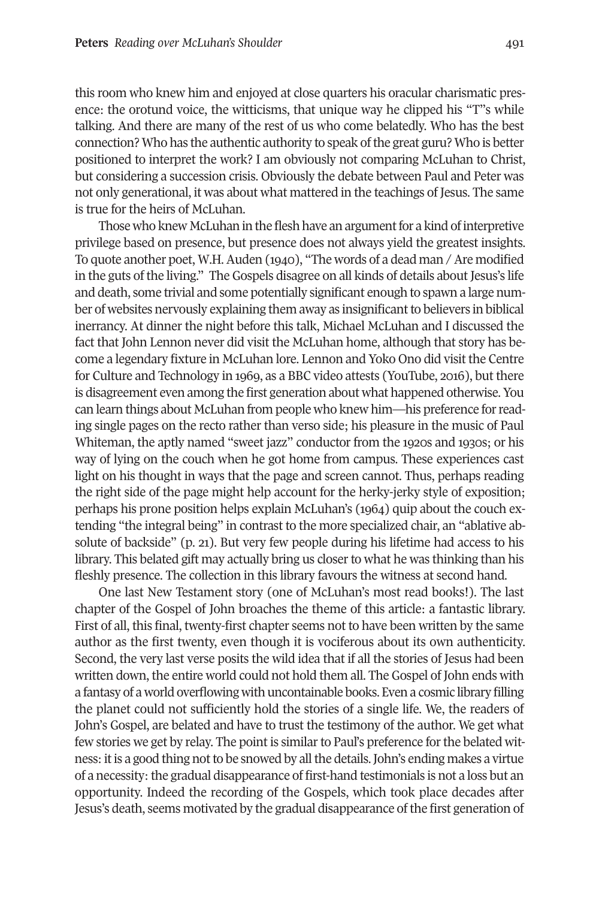this room who knew him and enjoyed at close quarters his oracular charismatic presence: the orotund voice, the witticisms, that unique way he clipped his "T"s while talking. And there are many of the rest of us who come belatedly. Who has the best connection? Who has the authentic authority to speak ofthe great guru? Who is better positioned to interpret the work? I am obviously not comparing McLuhan to Christ, but considering a succession crisis. Obviously the debate between Paul and Peter was not only generational, it was about what mattered in the teachings of Jesus. The same is true for the heirs of McLuhan.

Those who knew McLuhan in the flesh have an argument for a kind of interpretive privilege based on presence, but presence does not always yield the greatest insights. To quote another poet, W.H. Auden (1940), "The words of a dead man / Are modified in the guts of the living." The Gospels disagree on all kinds of details about Jesus's life and death, some trivial and some potentially significant enough to spawn a large number of websites nervously explaining them away as insignificant to believers in biblical inerrancy. At dinner the night before this talk, Michael McLuhan and I discussed the fact that John Lennon never did visit the McLuhan home, although that story has become a legendary fixture in McLuhan lore. Lennon and Yoko Ono did visit the Centre for Culture and Technology in 1969, as a BBC video attests (YouTube, 2016), but there is disagreement even among the first generation about what happened otherwise. You can learn things about McLuhan from people who knew him—his preference forreading single pages on the recto rather than verso side; his pleasure in the music of Paul Whiteman, the aptly named "sweet jazz" conductor from the 1920s and 1930s; or his way of lying on the couch when he got home from campus. These experiences cast light on his thought in ways that the page and screen cannot. Thus, perhaps reading the right side of the page might help account for the herky-jerky style of exposition; perhaps his prone position helps explain McLuhan's (1964) quip about the couch extending "the integral being" in contrast to the more specialized chair, an "ablative absolute of backside" (p. 21). But very few people during his lifetime had access to his library. This belated gift may actually bring us closerto what he was thinking than his fleshly presence. The collection in this library favours the witness at second hand.

One last New Testament story (one of McLuhan's most read books!). The last chapter of the Gospel of John broaches the theme of this article: a fantastic library. First of all, this final, twenty-first chapter seems not to have been written by the same author as the first twenty, even though it is vociferous about its own authenticity. Second, the very last verse posits the wild idea that if all the stories of Jesus had been written down, the entire world could not hold them all. The Gospel of John ends with a fantasy of a world overflowing with uncontainable books. Even a cosmic library filling the planet could not sufficiently hold the stories of a single life. We, the readers of John's Gospel, are belated and have to trust the testimony of the author. We get what few stories we get by relay. The point is similarto Paul's preference forthe belated witness: it is a good thing not to be snowed by all the details. John's ending makes a virtue of a necessity: the gradual disappearance of first-hand testimonials is not a loss but an opportunity. Indeed the recording of the Gospels, which took place decades after Jesus's death, seems motivated by the gradual disappearance ofthe first generation of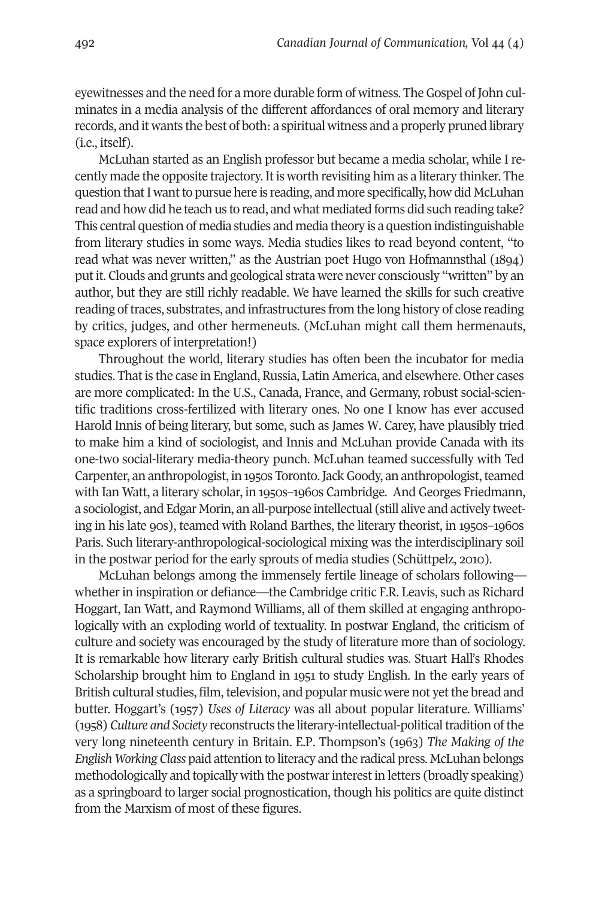eyewitnesses and the need for a more durable form of witness. The Gospel of John culminates in a media analysis of the different affordances of oral memory and literary records, and it wants the best of both: a spiritual witness and a properly pruned library (i.e., itself).

McLuhan started as an English professor but became a media scholar, while I recently made the opposite trajectory. It is worth revisiting him as a literary thinker. The question that I want to pursue here is reading, and more specifically, how did McLuhan read and how did he teach us to read, and what mediated forms did such reading take? This central question of media studies and media theory is a question indistinguishable from literary studies in some ways. Media studies likes to read beyond content, "to read what was never written," as the Austrian poet Hugo von Hofmannsthal (1894) putit. Clouds and grunts and geological strata were never consciously "written" by an author, but they are still richly readable. We have learned the skills for such creative reading oftraces, substrates, and infrastructures from the long history of close reading by critics, judges, and other hermeneuts. (McLuhan might call them hermenauts, space explorers of interpretation!)

Throughout the world, literary studies has often been the incubator for media studies. That is the case in England, Russia, Latin America, and elsewhere. Other cases are more complicated: In the U.S., Canada, France, and Germany, robust social-scientific traditions cross-fertilized with literary ones. No one I know has ever accused Harold Innis of being literary, but some, such as James W. Carey, have plausibly tried to make him a kind of sociologist, and Innis and McLuhan provide Canada with its one-two social-literary media-theory punch. McLuhan teamed successfully with Ted Carpenter, an anthropologist, in 1950s Toronto. Jack Goody, an anthropologist, teamed with Ian Watt, a literary scholar, in 1950s–1960s Cambridge. And Georges Friedmann, a sociologist, and Edgar Morin, an all-purpose intellectual (still alive and actively tweeting in his late 90s), teamed with Roland Barthes, the literary theorist, in 1950s–1960s Paris. Such literary-anthropological-sociological mixing was the interdisciplinary soil in the postwar period for the early sprouts of media studies (Schüttpelz, 2010).

McLuhan belongs among the immensely fertile lineage of scholars following whether in inspiration or defiance—the Cambridge critic F.R. Leavis, such as Richard Hoggart, Ian Watt, and Raymond Williams, all of them skilled at engaging anthropologically with an exploding world of textuality. In postwar England, the criticism of culture and society was encouraged by the study of literature more than of sociology. It is remarkable how literary early British cultural studies was. Stuart Hall's Rhodes Scholarship brought him to England in 1951 to study English. In the early years of British cultural studies, film, television, and popular music were not yet the bread and butter. Hoggart's (1957) *Uses of Literacy* was all about popular literature. Williams' (1958) *Culture and Society* reconstructs the literary-intellectual-politicaltradition ofthe very long nineteenth century in Britain. E.P. Thompson's (1963) *The Making of the English Working Class* paid attention to literacy and the radical press. McLuhan belongs methodologically and topically with the postwar interest in letters (broadly speaking) as a springboard to larger social prognostication, though his politics are quite distinct from the Marxism of most of these figures.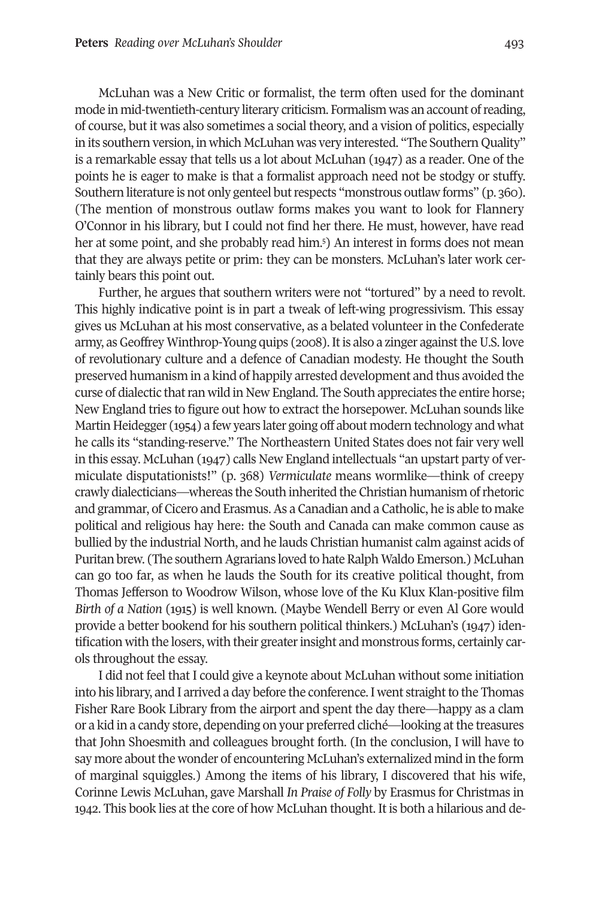McLuhan was a New Critic or formalist, the term often used for the dominant mode in mid-twentieth-century literary criticism. Formalism was an account ofreading, of course, but it was also sometimes a social theory, and a vision of politics, especially in its southern version, in which McLuhan was very interested. "The Southern Quality" is a remarkable essay that tells us a lot about McLuhan (1947) as a reader. One of the points he is eager to make is that a formalist approach need not be stodgy or stuffy. Southern literature is not only genteel but respects "monstrous outlaw forms" (p. 360). (The mention of monstrous outlaw forms makes you want to look for Flannery O'Connor in his library, but I could not find h[er](#page-11-4) there. He must, however, have read her at some point, and she probably read him. 5 ) An interest in forms does not mean that they are always petite or prim: they can be monsters. McLuhan's later work certainly bears this point out.

Further, he argues that southern writers were not "tortured" by a need to revolt. This highly indicative point is in part a tweak of left-wing progressivism. This essay gives us McLuhan at his most conservative, as a belated volunteer in the Confederate army, as Geoffrey Winthrop-Young quips (2008). It is also a zinger against the U.S. love of revolutionary culture and a defence of Canadian modesty. He thought the South preserved humanism in a kind of happily arrested development and thus avoided the curse of dialectic that ran wild in New England. The South appreciates the entire horse; New England tries to figure out how to extract the horsepower. McLuhan sounds like Martin Heidegger (1954) a few years later going off about modern technology and what he calls its "standing-reserve." The Northeastern United States does not fair very well in this essay. McLuhan (1947) calls New England intellectuals "an upstart party of vermiculate disputationists!" (p. 368) *Vermiculate* means wormlike—think of creepy crawly dialecticians—whereas the South inherited the Christian humanism ofrhetoric and grammar, of Cicero and Erasmus.As a Canadian and a Catholic, he is able to make political and religious hay here: the South and Canada can make common cause as bullied by the industrial North, and he lauds Christian humanist calm against acids of Puritan brew. (The southern Agrarians loved to hate Ralph Waldo Emerson.) McLuhan can go too far, as when he lauds the South for its creative political thought, from Thomas Jefferson to Woodrow Wilson, whose love of the Ku Klux Klan-positive film *Birth of a Nation* (1915) is well known. (Maybe Wendell Berry or even Al Gore would provide a better bookend for his southern political thinkers.) McLuhan's (1947) identification with the losers, with their greaterinsight and monstrous forms, certainly carols throughout the essay.

I did not feel that I could give a keynote about McLuhan without some initiation into his library, and I arrived a day before the conference. I went straight to the Thomas Fisher Rare Book Library from the airport and spent the day there—happy as a clam or a kid in a candy store, depending on your preferred cliché—looking atthe treasures that John Shoesmith and colleagues brought forth. (In the conclusion, I will have to say more about the wonder of encountering McLuhan's externalized mind in the form of marginal squiggles.) Among the items of his library, I discovered that his wife, Corinne Lewis McLuhan, gave Marshall *In Praise of Folly* by Erasmus for Christmas in 1942. This book lies at the core of how McLuhan thought. It is both a hilarious and de-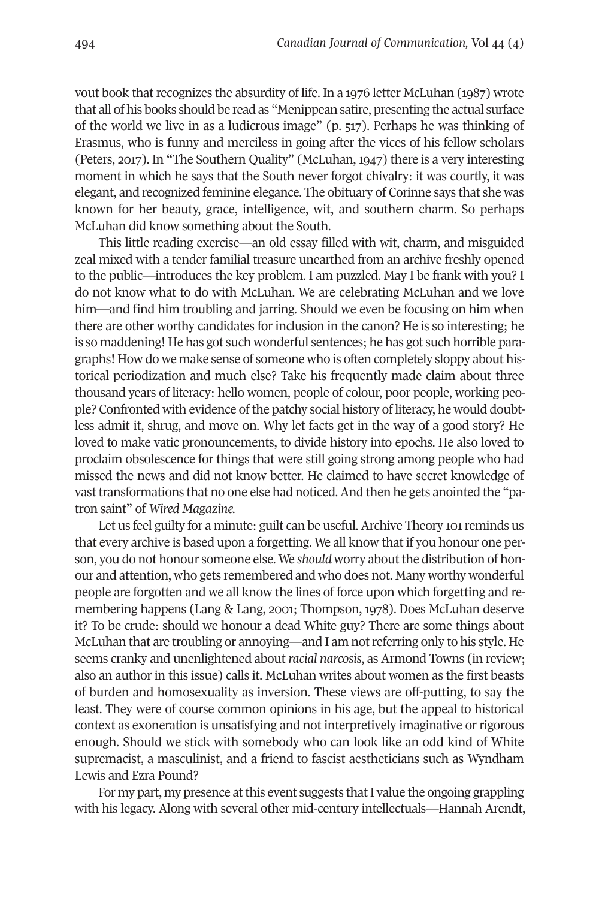vout book that recognizes the absurdity of life. In a 1976 letter McLuhan (1987) wrote that all of his books should be read as "Menippean satire, presenting the actual surface of the world we live in as a ludicrous image" (p. 517). Perhaps he was thinking of Erasmus, who is funny and merciless in going after the vices of his fellow scholars (Peters, 2017). In "The Southern Quality" (McLuhan, 1947) there is a very interesting moment in which he says that the South never forgot chivalry: it was courtly, it was elegant, and recognized feminine elegance. The obituary of Corinne says that she was known for her beauty, grace, intelligence, wit, and southern charm. So perhaps McLuhan did know something about the South.

This little reading exercise—an old essay filled with wit, charm, and misguided zeal mixed with a tender familial treasure unearthed from an archive freshly opened to the public—introduces the key problem. I am puzzled. May I be frank with you? I do not know what to do with McLuhan. We are celebrating McLuhan and we love him—and find him troubling and jarring. Should we even be focusing on him when there are other worthy candidates for inclusion in the canon? He is so interesting; he is so maddening! He has got such wonderful sentences; he has got such horrible paragraphs! How do we make sense of someone who is often completely sloppy about historical periodization and much else? Take his frequently made claim about three thousand years of literacy: hello women, people of colour, poor people, working people? Confronted with evidence of the patchy social history of literacy, he would doubtless admit it, shrug, and move on. Why let facts get in the way of a good story? He loved to make vatic pronouncements, to divide history into epochs. He also loved to proclaim obsolescence for things that were still going strong among people who had missed the news and did not know better. He claimed to have secret knowledge of vasttransformations that no one else had noticed.And then he gets anointed the "patron saint" of *Wired Magazine.*

Let us feel guilty for a minute: guilt can be useful. Archive Theory 101 reminds us that every archive is based upon a forgetting. We all know that if you honour one person, you do not honour someone else. We *should* worry about the distribution of honour and attention, who gets remembered and who does not. Many worthy wonderful people are forgotten and we all know the lines of force upon which forgetting and remembering happens (Lang & Lang, 2001; Thompson, 1978). Does McLuhan deserve it? To be crude: should we honour a dead White guy? There are some things about McLuhan that are troubling or annoying—and I am notreferring only to his style. He seems cranky and unenlightened about*racial narcosis*, as Armond Towns (in review; also an author in this issue) calls it. McLuhan writes about women as the first beasts of burden and homosexuality as inversion. These views are off-putting, to say the least. They were of course common opinions in his age, but the appeal to historical context as exoneration is unsatisfying and not interpretively imaginative or rigorous enough. Should we stick with somebody who can look like an odd kind of White supremacist, a masculinist, and a friend to fascist aestheticians such as Wyndham Lewis and Ezra Pound?

For my part, my presence at this event suggests that I value the ongoing grappling with his legacy. Along with several other mid-century intellectuals—Hannah Arendt,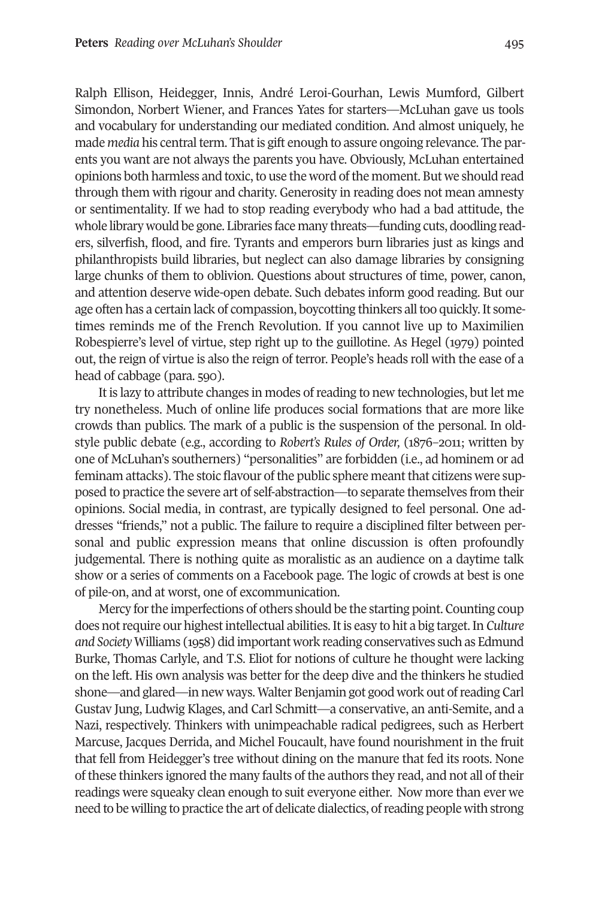Ralph Ellison, Heidegger, Innis, André Leroi-Gourhan, Lewis Mumford, Gilbert Simondon, Norbert Wiener, and Frances Yates for starters—McLuhan gave us tools and vocabulary for understanding our mediated condition. And almost uniquely, he made *media* his central term. That is gift enough to assure ongoing relevance. The parents you want are not always the parents you have. Obviously, McLuhan entertained opinions both harmless and toxic, to use the word of the moment. But we should read through them with rigour and charity. Generosity in reading does not mean amnesty or sentimentality. If we had to stop reading everybody who had a bad attitude, the whole library would be gone. Libraries face many threats—funding cuts, doodling readers, silverfish, flood, and fire. Tyrants and emperors burn libraries just as kings and philanthropists build libraries, but neglect can also damage libraries by consigning large chunks of them to oblivion. Questions about structures of time, power, canon, and attention deserve wide-open debate. Such debates inform good reading. But our age often has a certain lack of compassion, boycotting thinkers all too quickly. It sometimes reminds me of the French Revolution. If you cannot live up to Maximilien Robespierre's level of virtue, step right up to the guillotine. As Hegel (1979) pointed out, the reign of virtue is also the reign of terror. People's heads roll with the ease of a head of cabbage (para. 590).

It is lazy to attribute changes in modes ofreading to new technologies, but let me try nonetheless. Much of online life produces social formations that are more like crowds than publics. The mark of a public is the suspension of the personal. In oldstyle public debate (e.g., according to *Robert's Rules of Order,* (1876–2011; written by one of McLuhan's southerners) "personalities" are forbidden (i.e., ad hominem or ad feminam attacks). The stoic flavour of the public sphere meant that citizens were supposed to practice the severe art of self-abstraction—to separate themselves from their opinions. Social media, in contrast, are typically designed to feel personal. One addresses "friends," not a public. The failure to require a disciplined filter between personal and public expression means that online discussion is often profoundly judgemental. There is nothing quite as moralistic as an audience on a daytime talk show or a series of comments on a Facebook page. The logic of crowds at best is one of pile-on, and at worst, one of excommunication.

Mercy forthe imperfections of others should be the starting point. Counting coup does notrequire our highestintellectual abilities.Itis easy to hit a big target.In *Culture and Society* Williams (1958) did important work reading conservatives such as Edmund Burke, Thomas Carlyle, and T.S. Eliot for notions of culture he thought were lacking on the left. His own analysis was better for the deep dive and the thinkers he studied shone—and glared—in new ways. Walter Benjamin got good work out ofreading Carl Gustav Jung, Ludwig Klages, and Carl Schmitt—a conservative, an anti-Semite, and a Nazi, respectively. Thinkers with unimpeachable radical pedigrees, such as Herbert Marcuse, Jacques Derrida, and Michel Foucault, have found nourishment in the fruit that fell from Heidegger's tree without dining on the manure that fed its roots. None of these thinkers ignored the many faults of the authors they read, and not all of their readings were squeaky clean enough to suit everyone either. Now more than ever we need to be willing to practice the art of delicate dialectics, of reading people with strong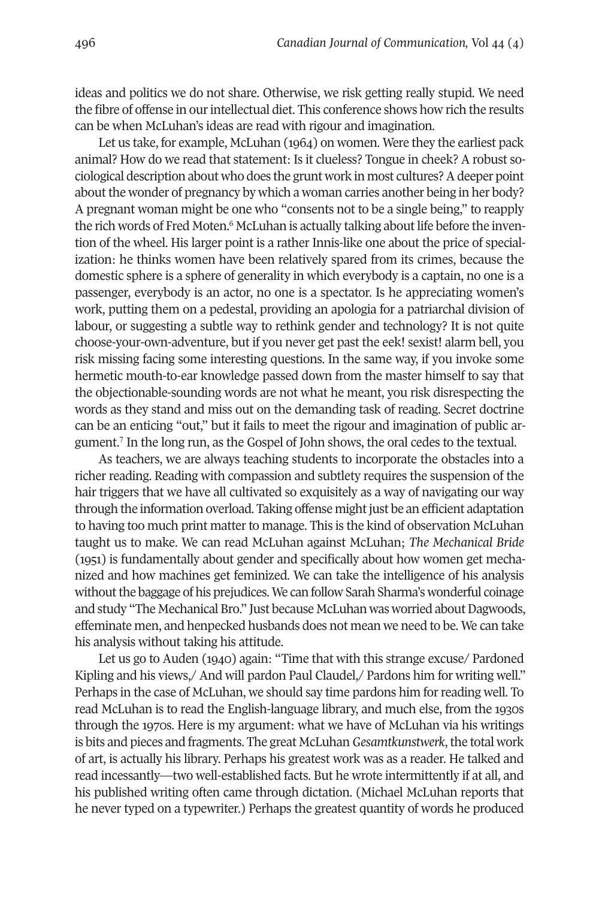ideas and politics we do not share. Otherwise, we risk getting really stupid. We need the fibre of offense in ourintellectual diet. This conference shows how rich the results can be when McLuhan's ideas are read with rigour and imagination.

Let us take, for example, McLuhan (1964) on women. Were they the earliest pack animal? How do we read that statement: Is it clueless? Tongue in cheek? A robust sociological description about who does the grunt work in most cultures?Adeeper point about the wonder of pregnancy by which a woman carries another being in her body? A pregnant woman might be [o](#page-11-5)ne who "consents not to be a single being," to reapply the rich words of Fred Moten.<sup>6</sup> McLuhan is actually talking about life before the invention of the wheel. His larger point is a rather Innis-like one about the price of specialization: he thinks women have been relatively spared from its crimes, because the domestic sphere is a sphere of generality in which everybody is a captain, no one is a passenger, everybody is an actor, no one is a spectator. Is he appreciating women's work, putting them on a pedestal, providing an apologia for a patriarchal division of labour, or suggesting a subtle way to rethink gender and technology? It is not quite choose-your-own-adventure, but if you never get past the eek! sexist! alarm bell, you risk missing facing some interesting questions. In the same way, if you invoke some hermetic mouth-to-ear knowledge passed down from the master himself to say that the objectionable-sounding words are not what he meant, you risk disrespecting the words as they stand and miss out on the demanding task of reading. Secret doctrine can be [an](#page-11-6) enticing "out," but it fails to meet the rigour and imagination of public argument. <sup>7</sup> In the long run, as the Gospel of John shows, the oral cedes to the textual.

As teachers, we are always teaching students to incorporate the obstacles into a richer reading. Reading with compassion and subtlety requires the suspension of the hair triggers that we have all cultivated so exquisitely as a way of navigating our way through the information overload. Taking offense might just be an efficient adaptation to having too much print matter to manage. This is the kind of observation McLuhan taught us to make. We can read McLuhan against McLuhan; *The Mechanical Bride* (1951) is fundamentally about gender and specifically about how women get mechanized and how machines get feminized. We can take the intelligence of his analysis without the baggage of his prejudices. We can follow Sarah Sharma's wonderful coinage and study "The Mechanical Bro." Just because McLuhan was worried about Dagwoods, effeminate men, and henpecked husbands does not mean we need to be. We can take his analysis without taking his attitude.

Let us go to Auden (1940) again: "Time that with this strange excuse/ Pardoned Kipling and his views,/ And will pardon Paul Claudel,/ Pardons him for writing well." Perhaps in the case of McLuhan, we should say time pardons him for reading well. To read McLuhan is to read the English-language library, and much else, from the 1930s through the 1970s. Here is my argument: what we have of McLuhan via his writings is bits and pieces and fragments. The great McLuhan *Gesamtkunstwerk*, the total work of art, is actually his library. Perhaps his greatest work was as a reader. He talked and read incessantly—two well-established facts. But he wrote intermittently if at all, and his published writing often came through dictation. (Michael McLuhan reports that he never typed on a typewriter.) Perhaps the greatest quantity of words he produced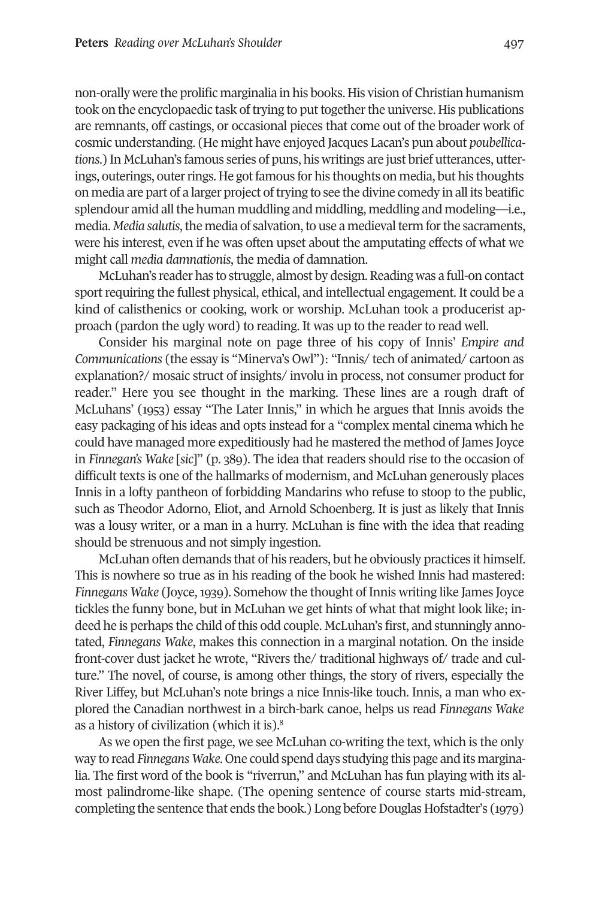non-orally were the prolific marginalia in his books. His vision of Christian humanism took on the encyclopaedic task of trying to put together the universe. His publications are remnants, off castings, or occasional pieces that come out of the broader work of cosmic understanding. (He might have enjoyed Jacques Lacan's pun about *poubellications*.) In McLuhan's famous series of puns, his writings are just brief utterances, utterings, outerings, outer rings. He got famous for his thoughts on media, but his thoughts on media are part of a larger project oftrying to see the divine comedy in all its beatific splendour amid all the human muddling and middling, meddling and modeling—i.e., media. *Media salutis*, the media of salvation, to use a medieval term for the sacraments, were his interest, even if he was often upset about the amputating effects of what we might call *media damnationis*, the media of damnation.

McLuhan's reader has to struggle, almost by design. Reading was a full-on contact sport requiring the fullest physical, ethical, and intellectual engagement. It could be a kind of calisthenics or cooking, work or worship. McLuhan took a producerist approach (pardon the ugly word) to reading. It was up to the reader to read well.

Consider his marginal note on page three of his copy of Innis' *Empire and Communications* (the essay is "Minerva's Owl"): "Innis/ tech of animated/ cartoon as explanation?/ mosaic struct of insights/ involu in process, not consumer product for reader." Here you see thought in the marking. These lines are a rough draft of McLuhans' (1953) essay "The Later Innis," in which he argues that Innis avoids the easy packaging of his ideas and opts instead for a "complex mental cinema which he could have managed more expeditiously had he mastered the method of James Joyce in *Finnegan's Wake* [*sic*]" (p. 389). The idea that readers should rise to the occasion of difficult texts is one of the hallmarks of modernism, and McLuhan generously places Innis in a lofty pantheon of forbidding Mandarins who refuse to stoop to the public, such as Theodor Adorno, Eliot, and Arnold Schoenberg. It is just as likely that Innis was a lousy writer, or a man in a hurry. McLuhan is fine with the idea that reading should be strenuous and not simply ingestion.

McLuhan often demands that of his readers, but he obviously practices it himself. This is nowhere so true as in his reading of the book he wished Innis had mastered: *Finnegans Wake* (Joyce,1939). Somehow the thought of Innis writing like James Joyce tickles the funny bone, but in McLuhan we get hints of what that might look like; indeed he is perhaps the child of this odd couple. McLuhan's first, and stunningly annotated, *Finnegans Wake*, makes this connection in a marginal notation. On the inside front-cover dust jacket he wrote, "Rivers the/ traditional highways of/ trade and culture." The novel, of course, is among other things, the story of rivers, especially the River Liffey, but McLuhan's note brings a nice Innis-like touch. Innis, a man who explored the Canadian northwest in a b[irc](#page-11-7)h-bark canoe, helps us read *Finnegans Wake* as a history of civilization (which it is). 8

As we open the first page, we see McLuhan co-writing the text, which is the only way to read *Finnegans Wake*. One could spend days studying this page and its marginalia. The first word of the book is "riverrun," and McLuhan has fun playing with its almost palindrome-like shape. (The opening sentence of course starts mid-stream, completing the sentence that ends the book.) Long before Douglas Hofstadter's (1979)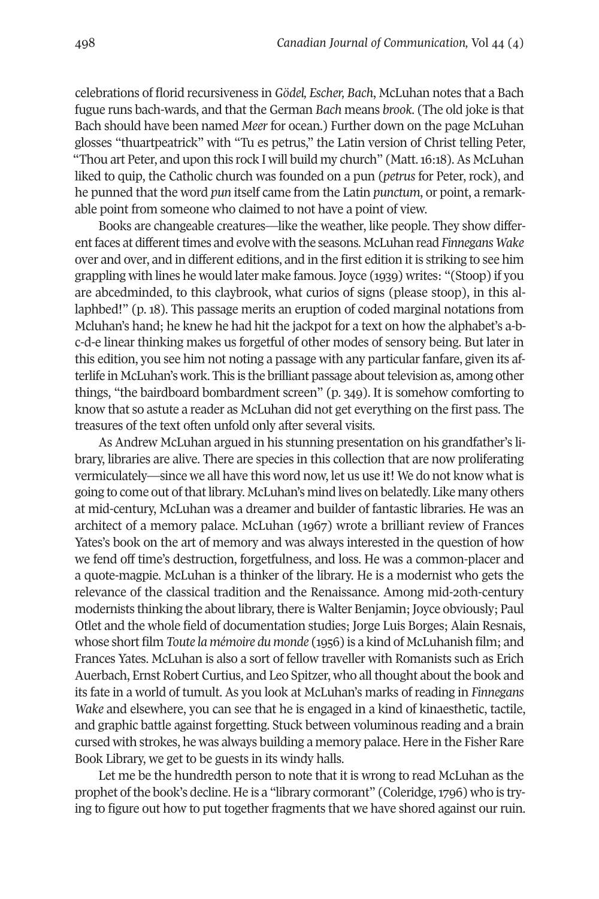celebrations of florid recursiveness in *Gödel, Escher, Bach*, McLuhan notes that a Bach fugue runs bach-wards, and that the German *Bach* means *brook*. (The old joke is that Bach should have been named *Meer* for ocean.) Further down on the page McLuhan glosses "thuartpeatrick" with "Tu es petrus," the Latin version of Christ telling Peter, "Thou art Peter, and upon this rock I will build my church" (Matt.16:18).As McLuhan liked to quip, the Catholic church was founded on a pun (*petrus* for Peter, rock), and he punned that the word *pun* itself came from the Latin *punctum*, or point, a remarkable point from someone who claimed to not have a point of view.

Books are changeable creatures—like the weather, like people. They show differentfaces at differenttimes and evolve with the seasons. McLuhan read *Finnegans Wake* over and over, and in different editions, and in the first edition it is striking to see him grappling with lines he would later make famous. Joyce (1939) writes: "(Stoop) if you are abcedminded, to this claybrook, what curios of signs (please stoop), in this allaphbed!" (p. 18). This passage merits an eruption of coded marginal notations from Mcluhan's hand; he knew he had hit the jackpot for a text on how the alphabet's a-bc-d-e linear thinking makes us forgetful of other modes of sensory being. But later in this edition, you see him not noting a passage with any particular fanfare, given its afterlife in McLuhan's work. This is the brilliant passage about television as, among other things, "the bairdboard bombardment screen" (p. 349). It is somehow comforting to know that so astute a reader as McLuhan did not get everything on the first pass. The treasures of the text often unfold only after several visits.

As Andrew McLuhan argued in his stunning presentation on his grandfather's library, libraries are alive. There are species in this collection that are now proliferating vermiculately—since we all have this word now, let us use it! We do not know what is going to come out ofthatlibrary. McLuhan's mind lives on belatedly. Like many others at mid-century, McLuhan was a dreamer and builder of fantastic libraries. He was an architect of a memory palace. McLuhan (1967) wrote a brilliant review of Frances Yates's book on the art of memory and was always interested in the question of how we fend off time's destruction, forgetfulness, and loss. He was a common-placer and a quote-magpie. McLuhan is a thinker of the library. He is a modernist who gets the relevance of the classical tradition and the Renaissance. Among mid-20th-century modernists thinking the about library, there is Walter Benjamin; Joyce obviously; Paul Otlet and the whole field of documentation studies; Jorge Luis Borges; Alain Resnais, whose short film *Toute la mémoire du monde* (1956) is a kind of McLuhanish film; and Frances Yates. McLuhan is also a sort of fellow traveller with Romanists such as Erich Auerbach, Ernst Robert Curtius, and Leo Spitzer, who all thought about the book and its fate in a world of tumult. As you look at McLuhan's marks of reading in *Finnegans Wake* and elsewhere, you can see that he is engaged in a kind of kinaesthetic, tactile, and graphic battle against forgetting. Stuck between voluminous reading and a brain cursed with strokes, he was always building a memory palace. Here in the Fisher Rare Book Library, we get to be guests in its windy halls.

Let me be the hundredth person to note that it is wrong to read McLuhan as the prophet ofthe book's decline. He is a "library cormorant" (Coleridge,1796) who is trying to figure out how to put together fragments that we have shored against our ruin.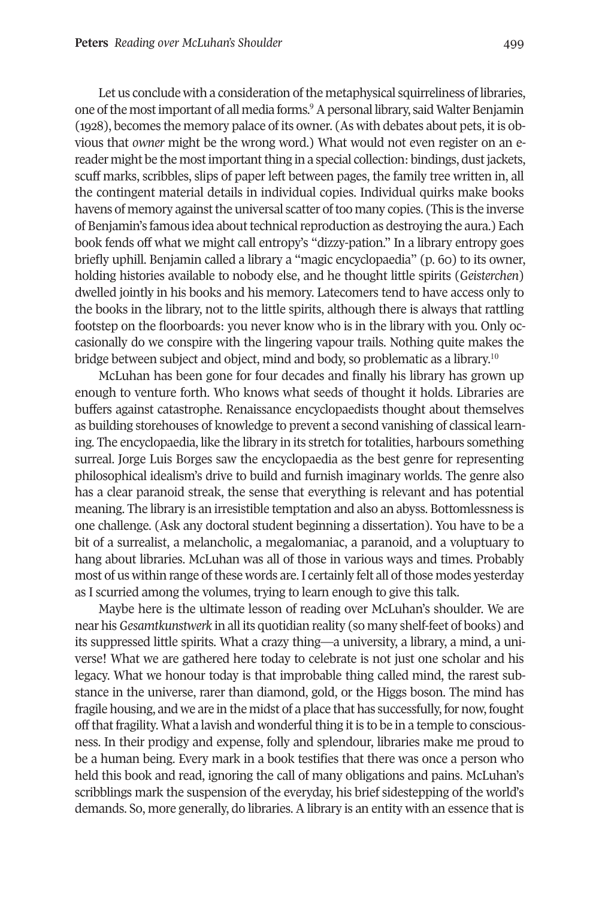Let us conclude wi[th](#page-11-8) a consideration of the metaphysical squirreliness of libraries, one of the most important of all media forms.<sup>9</sup> A personal library, said Walter Benjamin (1928), becomes the memory palace of its owner. (As with debates about pets, it is obvious that *owner* might be the wrong word.) What would not even register on an ereader might be the most important thing in a special collection: bindings, dust jackets, scuff marks, scribbles, slips of paper left between pages, the family tree written in, all the contingent material details in individual copies. Individual quirks make books havens of memory against the universal scatter of too many copies. (This is the inverse of Benjamin's famous idea about technical reproduction as destroying the aura.) Each book fends off what we might call entropy's "dizzy-pation." In a library entropy goes briefly uphill. Benjamin called a library a "magic encyclopaedia" (p. 60) to its owner, holding histories available to nobody else, and he thought little spirits (*Geisterchen*) dwelled jointly in his books and his memory. Latecomers tend to have access only to the books in the library, not to the little spirits, although there is always that rattling footstep on the floorboards: you never know who is in the library with you. Only occasionally do we conspire with the lingering vapour trails. Nothing quite ma[kes](#page-11-9) the bridge between subject and object, mind and body, so problematic as a library.<sup>10</sup>

McLuhan has been gone for four decades and finally his library has grown up enough to venture forth. Who knows what seeds of thought it holds. Libraries are buffers against catastrophe. Renaissance encyclopaedists thought about themselves as building storehouses of knowledge to prevent a second vanishing of classical learning. The encyclopaedia, like the library in its stretch for totalities, harbours something surreal. Jorge Luis Borges saw the encyclopaedia as the best genre for representing philosophical idealism's drive to build and furnish imaginary worlds. The genre also has a clear paranoid streak, the sense that everything is relevant and has potential meaning. The library is an irresistible temptation and also an abyss. Bottomlessness is one challenge. (Ask any doctoral student beginning a dissertation). You have to be a bit of a surrealist, a melancholic, a megalomaniac, a paranoid, and a voluptuary to hang about libraries. McLuhan was all of those in various ways and times. Probably most of us within range of these words are. I certainly felt all of those modes yesterday as I scurried among the volumes, trying to learn enough to give this talk.

Maybe here is the ultimate lesson of reading over McLuhan's shoulder. We are near his *Gesamtkunstwerk* in all its quotidian reality (so many shelf-feet of books) and its suppressed little spirits. What a crazy thing—a university, a library, a mind, a universe! What we are gathered here today to celebrate is not just one scholar and his legacy. What we honour today is that improbable thing called mind, the rarest substance in the universe, rarer than diamond, gold, or the Higgs boson. The mind has fragile housing, and we are in the midst of a place that has successfully, for now, fought off that fragility. What a lavish and wonderful thing it is to be in a temple to consciousness. In their prodigy and expense, folly and splendour, libraries make me proud to be a human being. Every mark in a book testifies that there was once a person who held this book and read, ignoring the call of many obligations and pains. McLuhan's scribblings mark the suspension of the everyday, his brief sidestepping of the world's demands. So, more generally, do libraries. A library is an entity with an essence that is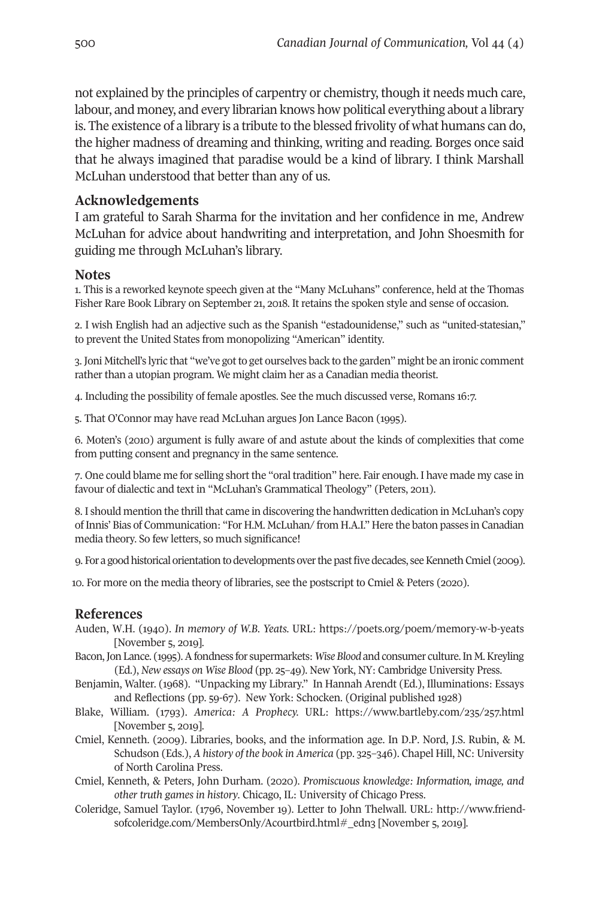not explained by the principles of carpentry or chemistry, though it needs much care, labour, and money, and every librarian knows how political everything about a library is. The existence of a library is a tribute to the blessed frivolity of what humans can do, the higher madness of dreaming and thinking, writing and reading. Borges once said that he always imagined that paradise would be a kind of library. I think Marshall McLuhan understood that better than any of us.

### **Acknowledgements**

I am grateful to Sarah Sharma for the invitation and her confidence in me, Andrew McLuhan for advice about handwriting and interpretation, and John Shoesmith for guiding me through McLuhan's library.

#### <span id="page-11-0"></span>**Notes**

1. This is a reworked keynote speech given at the "Many McLuhans" conference, held at the Thomas Fisher Rare Book Library on September 21, 2018. It retains the spoken style and sense of occasion.

<span id="page-11-1"></span>2. I wish English had an adjective such as the Spanish "estadounidense," such as "united-statesian," to prevent the United States from monopolizing "American" identity.

<span id="page-11-2"></span>3. Joni Mitchell's lyric that "we've gotto get ourselves back to the garden" might be an ironic comment rather than a utopian program. We might claim her as a Canadian media theorist.

4. Including the possibility of female apostles. See the much discussed verse, Romans 16:7.

<span id="page-11-5"></span><span id="page-11-4"></span><span id="page-11-3"></span>5. That O'Connor may have read McLuhan argues Jon Lance Bacon (1995).

6. Moten's (2010) argument is fully aware of and astute about the kinds of complexities that come from putting consent and pregnancy in the same sentence.

<span id="page-11-6"></span>7. One could blame me for selling short the "oral tradition" here. Fair enough. I have made my case in favour of dialectic and text in "McLuhan's Grammatical Theology" (Peters, 2011).

<span id="page-11-7"></span>8. I should mention the thrill that came in discovering the handwritten dedication in McLuhan's copy ofInnis' Bias of Communication: "For H.M. McLuhan/ from H.A.I." Here the baton passes in Canadian media theory. So few letters, so much significance!

<span id="page-11-9"></span><span id="page-11-8"></span>9. For a good historical orientation to developments over the past five decades, see Kenneth Cmiel (2009).

10. For more on the media theory of libraries, see the postscript to Cmiel & Peters (2020).

#### **References**

- Auden, W.H. (1940). *In memory of W.B. Yeats.* URL: <https://poets.org/poem/memory-w-b-yeats> [November 5, 2019].
- Bacon,Jon Lance. (1995).Afondness for supermarkets:*WiseBlood* and consumer culture.In M.Kreyling (Ed.), *New essays on Wise Blood* (pp. 25–49). New York, NY: Cambridge University Press.
- Benjamin, Walter. (1968). "Unpacking my Library." In Hannah Arendt (Ed.), Illuminations: Essays and Reflections (pp. 59-67). New York: Schocken. (Original published 1928)
- Blake, William. (1793). *America: A Prophecy.* URL: <https://www.bartleby.com/235/257.html> [November 5, 2019].
- Cmiel, Kenneth. (2009). Libraries, books, and the information age. In D.P. Nord, J.S. Rubin, & M. Schudson (Eds.), *A history of the book in America* (pp. 325–346). Chapel Hill, NC: University of North Carolina Press.
- Cmiel, Kenneth, & Peters, John Durham. (2020). *Promiscuous knowledge: Information, image, and other truth games in history*. Chicago, IL: University of Chicago Press.
- Coleridge, Samuel Taylor. (1796, November 19). Letter to John Thelwall. URL: [http://www.friend](http://www.friendsofcoleridge.com/MembersOnly/Acourtbird.html#_edn3)[sofcoleridge.com/MembersOnly/Acourtbird.html#\\_edn3](http://www.friendsofcoleridge.com/MembersOnly/Acourtbird.html#_edn3) [November 5, 2019].